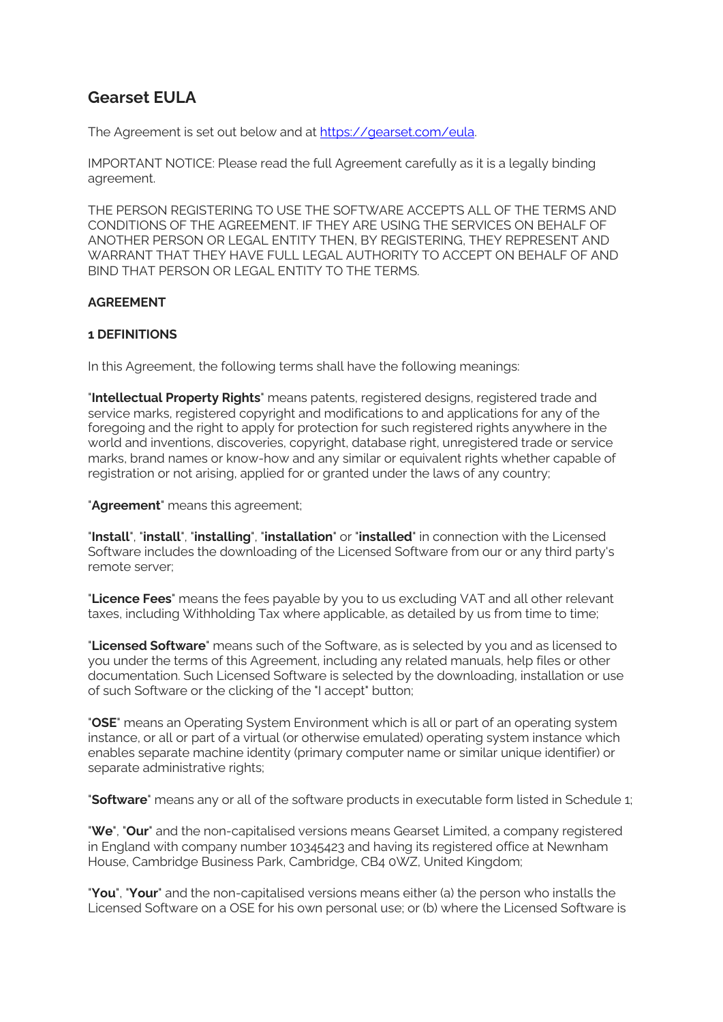# **Gearset EULA**

The Agreement is set out below and at https://gearset.com/eula.

IMPORTANT NOTICE: Please read the full Agreement carefully as it is a legally binding agreement.

THE PERSON REGISTERING TO USE THE SOFTWARE ACCEPTS ALL OF THE TERMS AND CONDITIONS OF THE AGREEMENT. IF THEY ARE USING THE SERVICES ON BEHALF OF ANOTHER PERSON OR LEGAL ENTITY THEN, BY REGISTERING, THEY REPRESENT AND WARRANT THAT THEY HAVE FULL LEGAL AUTHORITY TO ACCEPT ON BEHALF OF AND BIND THAT PERSON OR LEGAL ENTITY TO THE TERMS.

# **AGREEMENT**

## **1 DEFINITIONS**

In this Agreement, the following terms shall have the following meanings:

"**Intellectual Property Rights**" means patents, registered designs, registered trade and service marks, registered copyright and modifications to and applications for any of the foregoing and the right to apply for protection for such registered rights anywhere in the world and inventions, discoveries, copyright, database right, unregistered trade or service marks, brand names or know-how and any similar or equivalent rights whether capable of registration or not arising, applied for or granted under the laws of any country;

"**Agreement**" means this agreement;

"**Install**", "**install**", "**installing**", "**installation**" or "**installed**" in connection with the Licensed Software includes the downloading of the Licensed Software from our or any third party's remote server;

"**Licence Fees**" means the fees payable by you to us excluding VAT and all other relevant taxes, including Withholding Tax where applicable, as detailed by us from time to time;

"**Licensed Software**" means such of the Software, as is selected by you and as licensed to you under the terms of this Agreement, including any related manuals, help files or other documentation. Such Licensed Software is selected by the downloading, installation or use of such Software or the clicking of the "I accept" button;

"**OSE**" means an Operating System Environment which is all or part of an operating system instance, or all or part of a virtual (or otherwise emulated) operating system instance which enables separate machine identity (primary computer name or similar unique identifier) or separate administrative rights;

"**Software**" means any or all of the software products in executable form listed in Schedule 1;

"**We**", "**Our**" and the non-capitalised versions means Gearset Limited, a company registered in England with company number 10345423 and having its registered office at Newnham House, Cambridge Business Park, Cambridge, CB4 0WZ, United Kingdom;

"**You**", "**Your**" and the non-capitalised versions means either (a) the person who installs the Licensed Software on a OSE for his own personal use; or (b) where the Licensed Software is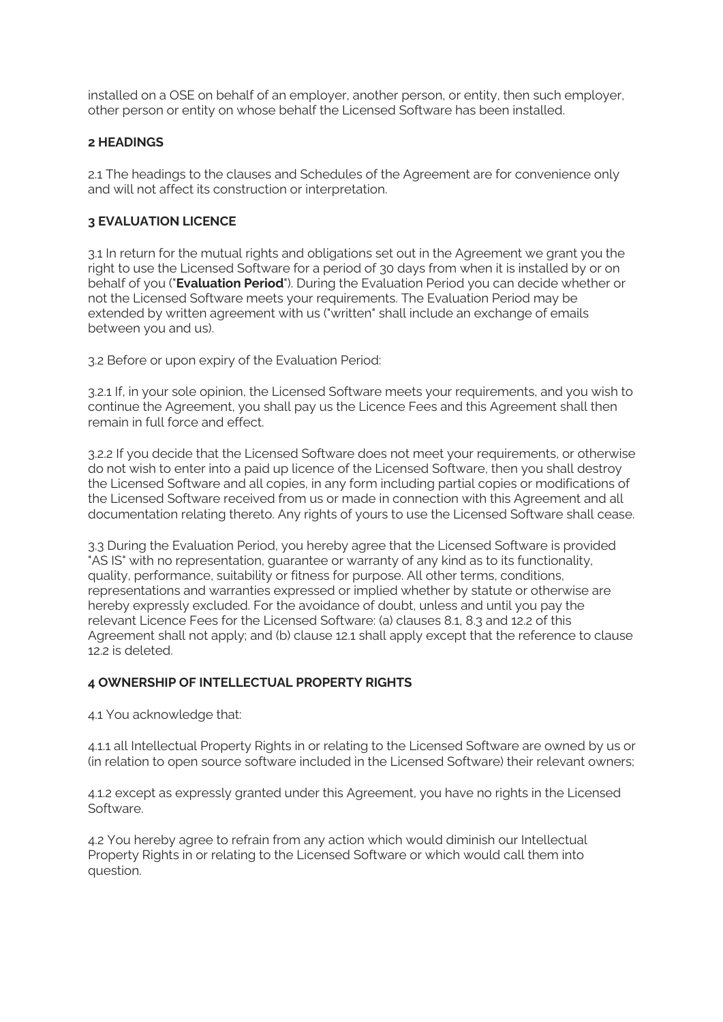installed on a OSE on behalf of an employer, another person, or entity, then such employer, other person or entity on whose behalf the Licensed Software has been installed.

## **2 HEADINGS**

2.1 The headings to the clauses and Schedules of the Agreement are for convenience only and will not affect its construction or interpretation.

#### **3 EVALUATION LICENCE**

3.1 In return for the mutual rights and obligations set out in the Agreement we grant you the right to use the Licensed Software for a period of 30 days from when it is installed by or on behalf of you ("**Evaluation Period**"). During the Evaluation Period you can decide whether or not the Licensed Software meets your requirements. The Evaluation Period may be extended by written agreement with us ("written" shall include an exchange of emails between you and us).

3.2 Before or upon expiry of the Evaluation Period:

3.2.1 If, in your sole opinion, the Licensed Software meets your requirements, and you wish to continue the Agreement, you shall pay us the Licence Fees and this Agreement shall then remain in full force and effect.

3.2.2 If you decide that the Licensed Software does not meet your requirements, or otherwise do not wish to enter into a paid up licence of the Licensed Software, then you shall destroy the Licensed Software and all copies, in any form including partial copies or modifications of the Licensed Software received from us or made in connection with this Agreement and all documentation relating thereto. Any rights of yours to use the Licensed Software shall cease.

3.3 During the Evaluation Period, you hereby agree that the Licensed Software is provided "AS IS" with no representation, guarantee or warranty of any kind as to its functionality, quality, performance, suitability or fitness for purpose. All other terms, conditions, representations and warranties expressed or implied whether by statute or otherwise are hereby expressly excluded. For the avoidance of doubt, unless and until you pay the relevant Licence Fees for the Licensed Software: (a) clauses 8.1, 8.3 and 12.2 of this Agreement shall not apply; and (b) clause 12.1 shall apply except that the reference to clause 12.2 is deleted.

# **4 OWNERSHIP OF INTELLECTUAL PROPERTY RIGHTS**

4.1 You acknowledge that:

4.1.1 all Intellectual Property Rights in or relating to the Licensed Software are owned by us or (in relation to open source software included in the Licensed Software) their relevant owners;

4.1.2 except as expressly granted under this Agreement, you have no rights in the Licensed Software.

4.2 You hereby agree to refrain from any action which would diminish our Intellectual Property Rights in or relating to the Licensed Software or which would call them into question.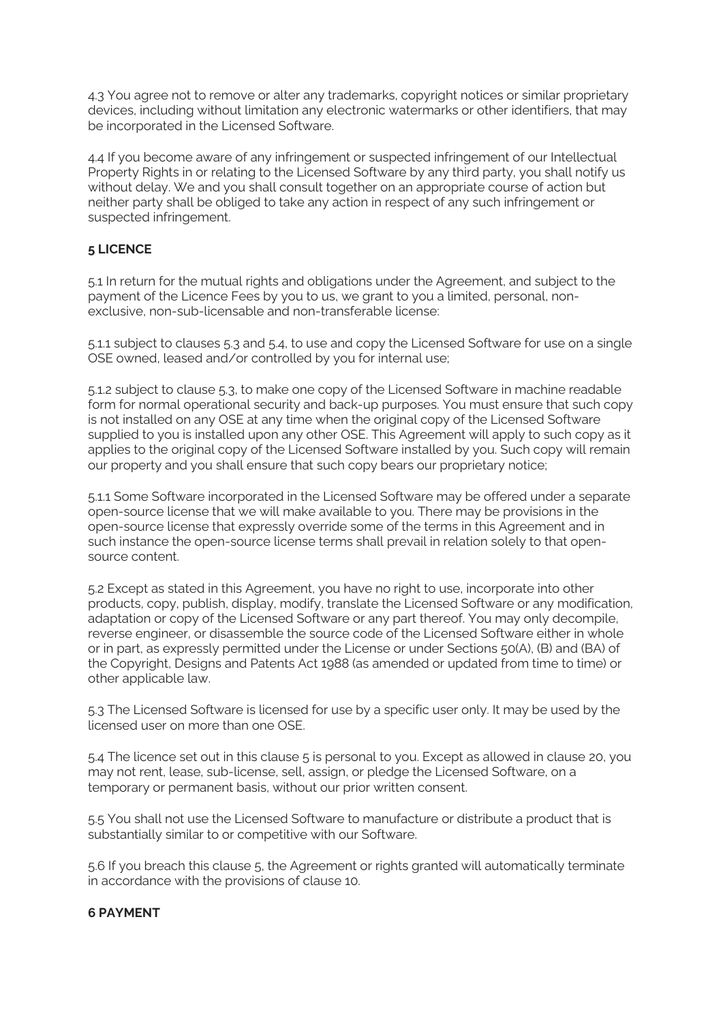4.3 You agree not to remove or alter any trademarks, copyright notices or similar proprietary devices, including without limitation any electronic watermarks or other identifiers, that may be incorporated in the Licensed Software.

4.4 If you become aware of any infringement or suspected infringement of our Intellectual Property Rights in or relating to the Licensed Software by any third party, you shall notify us without delay. We and you shall consult together on an appropriate course of action but neither party shall be obliged to take any action in respect of any such infringement or suspected infringement.

# **5 LICENCE**

5.1 In return for the mutual rights and obligations under the Agreement, and subject to the payment of the Licence Fees by you to us, we grant to you a limited, personal, nonexclusive, non-sub-licensable and non-transferable license:

5.1.1 subject to clauses 5.3 and 5.4, to use and copy the Licensed Software for use on a single OSE owned, leased and/or controlled by you for internal use;

5.1.2 subject to clause 5.3, to make one copy of the Licensed Software in machine readable form for normal operational security and back-up purposes. You must ensure that such copy is not installed on any OSE at any time when the original copy of the Licensed Software supplied to you is installed upon any other OSE. This Agreement will apply to such copy as it applies to the original copy of the Licensed Software installed by you. Such copy will remain our property and you shall ensure that such copy bears our proprietary notice;

5.1.1 Some Software incorporated in the Licensed Software may be offered under a separate open-source license that we will make available to you. There may be provisions in the open-source license that expressly override some of the terms in this Agreement and in such instance the open-source license terms shall prevail in relation solely to that opensource content.

5.2 Except as stated in this Agreement, you have no right to use, incorporate into other products, copy, publish, display, modify, translate the Licensed Software or any modification, adaptation or copy of the Licensed Software or any part thereof. You may only decompile, reverse engineer, or disassemble the source code of the Licensed Software either in whole or in part, as expressly permitted under the License or under Sections 50(A), (B) and (BA) of the Copyright, Designs and Patents Act 1988 (as amended or updated from time to time) or other applicable law.

5.3 The Licensed Software is licensed for use by a specific user only. It may be used by the licensed user on more than one OSE.

5.4 The licence set out in this clause 5 is personal to you. Except as allowed in clause 20, you may not rent, lease, sub-license, sell, assign, or pledge the Licensed Software, on a temporary or permanent basis, without our prior written consent.

5.5 You shall not use the Licensed Software to manufacture or distribute a product that is substantially similar to or competitive with our Software.

5.6 If you breach this clause 5, the Agreement or rights granted will automatically terminate in accordance with the provisions of clause 10.

## **6 PAYMENT**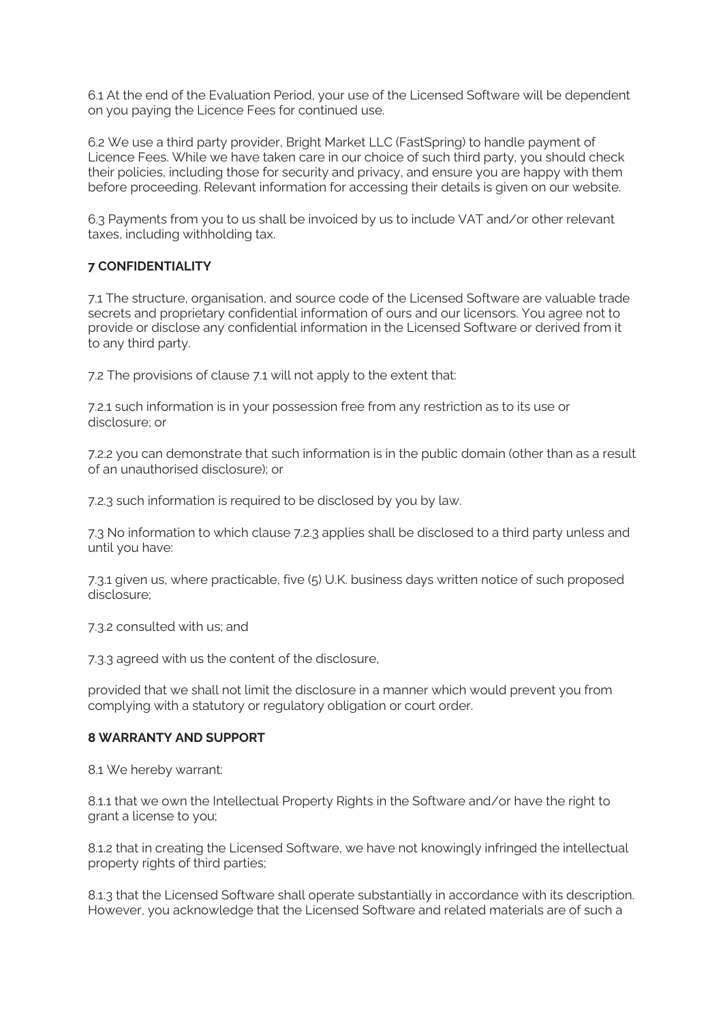6.1 At the end of the Evaluation Period, your use of the Licensed Software will be dependent on you paying the Licence Fees for continued use.

6.2 We use a third party provider, Bright Market LLC (FastSpring) to handle payment of Licence Fees. While we have taken care in our choice of such third party, you should check their policies, including those for security and privacy, and ensure you are happy with them before proceeding. Relevant information for accessing their details is given on our website.

6.3 Payments from you to us shall be invoiced by us to include VAT and/or other relevant taxes, including withholding tax.

## **7 CONFIDENTIALITY**

7.1 The structure, organisation, and source code of the Licensed Software are valuable trade secrets and proprietary confidential information of ours and our licensors. You agree not to provide or disclose any confidential information in the Licensed Software or derived from it to any third party.

7.2 The provisions of clause 7.1 will not apply to the extent that:

7.2.1 such information is in your possession free from any restriction as to its use or disclosure; or

7.2.2 you can demonstrate that such information is in the public domain (other than as a result of an unauthorised disclosure); or

7.2.3 such information is required to be disclosed by you by law.

7.3 No information to which clause 7.2.3 applies shall be disclosed to a third party unless and until you have:

7.3.1 given us, where practicable, five (5) U.K. business days written notice of such proposed disclosure;

7.3.2 consulted with us; and

7.3.3 agreed with us the content of the disclosure,

provided that we shall not limit the disclosure in a manner which would prevent you from complying with a statutory or regulatory obligation or court order.

## **8 WARRANTY AND SUPPORT**

8.1 We hereby warrant:

8.1.1 that we own the Intellectual Property Rights in the Software and/or have the right to grant a license to you;

8.1.2 that in creating the Licensed Software, we have not knowingly infringed the intellectual property rights of third parties;

8.1.3 that the Licensed Software shall operate substantially in accordance with its description. However, you acknowledge that the Licensed Software and related materials are of such a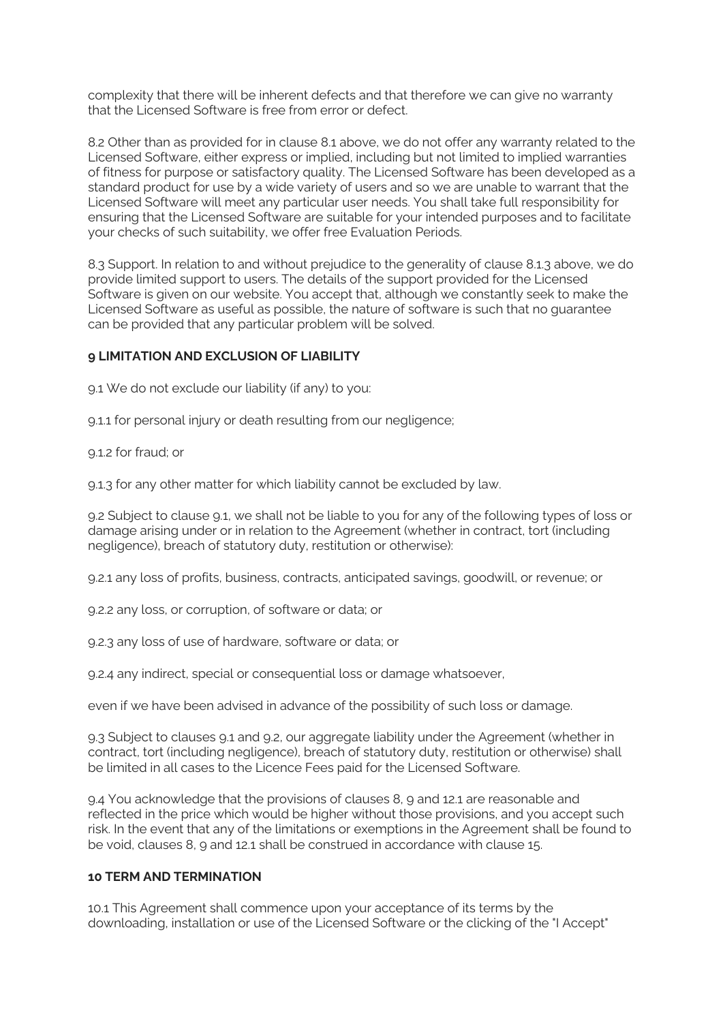complexity that there will be inherent defects and that therefore we can give no warranty that the Licensed Software is free from error or defect.

8.2 Other than as provided for in clause 8.1 above, we do not offer any warranty related to the Licensed Software, either express or implied, including but not limited to implied warranties of fitness for purpose or satisfactory quality. The Licensed Software has been developed as a standard product for use by a wide variety of users and so we are unable to warrant that the Licensed Software will meet any particular user needs. You shall take full responsibility for ensuring that the Licensed Software are suitable for your intended purposes and to facilitate your checks of such suitability, we offer free Evaluation Periods.

8.3 Support. In relation to and without prejudice to the generality of clause 8.1.3 above, we do provide limited support to users. The details of the support provided for the Licensed Software is given on our website. You accept that, although we constantly seek to make the Licensed Software as useful as possible, the nature of software is such that no guarantee can be provided that any particular problem will be solved.

## **9 LIMITATION AND EXCLUSION OF LIABILITY**

9.1 We do not exclude our liability (if any) to you:

9.1.1 for personal injury or death resulting from our negligence;

9.1.2 for fraud; or

9.1.3 for any other matter for which liability cannot be excluded by law.

9.2 Subject to clause 9.1, we shall not be liable to you for any of the following types of loss or damage arising under or in relation to the Agreement (whether in contract, tort (including negligence), breach of statutory duty, restitution or otherwise):

9.2.1 any loss of profits, business, contracts, anticipated savings, goodwill, or revenue; or

9.2.2 any loss, or corruption, of software or data; or

9.2.3 any loss of use of hardware, software or data; or

9.2.4 any indirect, special or consequential loss or damage whatsoever,

even if we have been advised in advance of the possibility of such loss or damage.

9.3 Subject to clauses 9.1 and 9.2, our aggregate liability under the Agreement (whether in contract, tort (including negligence), breach of statutory duty, restitution or otherwise) shall be limited in all cases to the Licence Fees paid for the Licensed Software.

9.4 You acknowledge that the provisions of clauses 8, 9 and 12.1 are reasonable and reflected in the price which would be higher without those provisions, and you accept such risk. In the event that any of the limitations or exemptions in the Agreement shall be found to be void, clauses 8, 9 and 12.1 shall be construed in accordance with clause 15.

#### **10 TERM AND TERMINATION**

10.1 This Agreement shall commence upon your acceptance of its terms by the downloading, installation or use of the Licensed Software or the clicking of the "I Accept"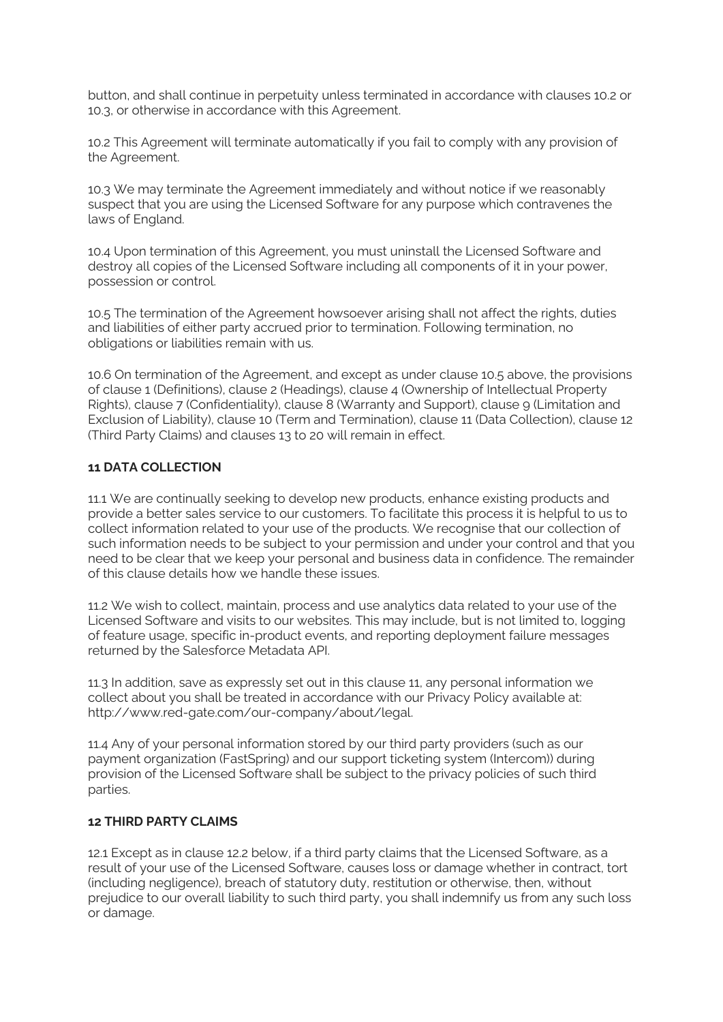button, and shall continue in perpetuity unless terminated in accordance with clauses 10.2 or 10.3, or otherwise in accordance with this Agreement.

10.2 This Agreement will terminate automatically if you fail to comply with any provision of the Agreement.

10.3 We may terminate the Agreement immediately and without notice if we reasonably suspect that you are using the Licensed Software for any purpose which contravenes the laws of England.

10.4 Upon termination of this Agreement, you must uninstall the Licensed Software and destroy all copies of the Licensed Software including all components of it in your power, possession or control.

10.5 The termination of the Agreement howsoever arising shall not affect the rights, duties and liabilities of either party accrued prior to termination. Following termination, no obligations or liabilities remain with us.

10.6 On termination of the Agreement, and except as under clause 10.5 above, the provisions of clause 1 (Definitions), clause 2 (Headings), clause 4 (Ownership of Intellectual Property Rights), clause 7 (Confidentiality), clause 8 (Warranty and Support), clause 9 (Limitation and Exclusion of Liability), clause 10 (Term and Termination), clause 11 (Data Collection), clause 12 (Third Party Claims) and clauses 13 to 20 will remain in effect.

## **11 DATA COLLECTION**

11.1 We are continually seeking to develop new products, enhance existing products and provide a better sales service to our customers. To facilitate this process it is helpful to us to collect information related to your use of the products. We recognise that our collection of such information needs to be subject to your permission and under your control and that you need to be clear that we keep your personal and business data in confidence. The remainder of this clause details how we handle these issues.

11.2 We wish to collect, maintain, process and use analytics data related to your use of the Licensed Software and visits to our websites. This may include, but is not limited to, logging of feature usage, specific in-product events, and reporting deployment failure messages returned by the Salesforce Metadata API.

11.3 In addition, save as expressly set out in this clause 11, any personal information we collect about you shall be treated in accordance with our Privacy Policy available at: http://www.red-gate.com/our-company/about/legal.

11.4 Any of your personal information stored by our third party providers (such as our payment organization (FastSpring) and our support ticketing system (Intercom)) during provision of the Licensed Software shall be subject to the privacy policies of such third parties.

#### **12 THIRD PARTY CLAIMS**

12.1 Except as in clause 12.2 below, if a third party claims that the Licensed Software, as a result of your use of the Licensed Software, causes loss or damage whether in contract, tort (including negligence), breach of statutory duty, restitution or otherwise, then, without prejudice to our overall liability to such third party, you shall indemnify us from any such loss or damage.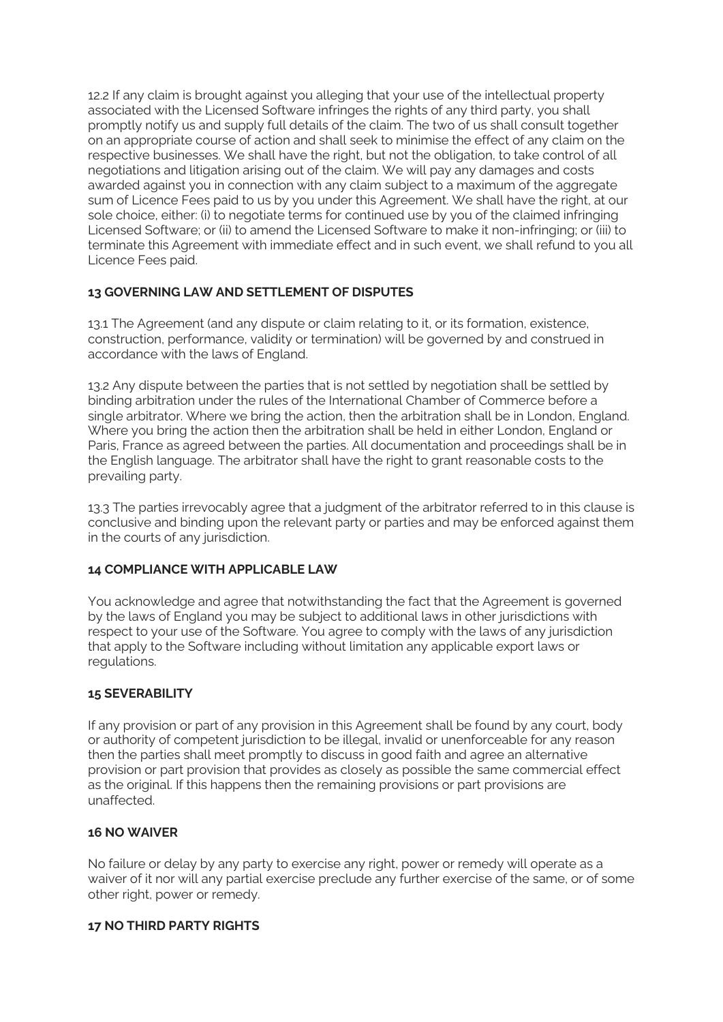12.2 If any claim is brought against you alleging that your use of the intellectual property associated with the Licensed Software infringes the rights of any third party, you shall promptly notify us and supply full details of the claim. The two of us shall consult together on an appropriate course of action and shall seek to minimise the effect of any claim on the respective businesses. We shall have the right, but not the obligation, to take control of all negotiations and litigation arising out of the claim. We will pay any damages and costs awarded against you in connection with any claim subject to a maximum of the aggregate sum of Licence Fees paid to us by you under this Agreement. We shall have the right, at our sole choice, either: (i) to negotiate terms for continued use by you of the claimed infringing Licensed Software; or (ii) to amend the Licensed Software to make it non-infringing; or (iii) to terminate this Agreement with immediate effect and in such event, we shall refund to you all Licence Fees paid.

# **13 GOVERNING LAW AND SETTLEMENT OF DISPUTES**

13.1 The Agreement (and any dispute or claim relating to it, or its formation, existence, construction, performance, validity or termination) will be governed by and construed in accordance with the laws of England.

13.2 Any dispute between the parties that is not settled by negotiation shall be settled by binding arbitration under the rules of the International Chamber of Commerce before a single arbitrator. Where we bring the action, then the arbitration shall be in London, England. Where you bring the action then the arbitration shall be held in either London, England or Paris, France as agreed between the parties. All documentation and proceedings shall be in the English language. The arbitrator shall have the right to grant reasonable costs to the prevailing party.

13.3 The parties irrevocably agree that a judgment of the arbitrator referred to in this clause is conclusive and binding upon the relevant party or parties and may be enforced against them in the courts of any jurisdiction.

#### **14 COMPLIANCE WITH APPLICABLE LAW**

You acknowledge and agree that notwithstanding the fact that the Agreement is governed by the laws of England you may be subject to additional laws in other jurisdictions with respect to your use of the Software. You agree to comply with the laws of any jurisdiction that apply to the Software including without limitation any applicable export laws or regulations.

#### **15 SEVERABILITY**

If any provision or part of any provision in this Agreement shall be found by any court, body or authority of competent jurisdiction to be illegal, invalid or unenforceable for any reason then the parties shall meet promptly to discuss in good faith and agree an alternative provision or part provision that provides as closely as possible the same commercial effect as the original. If this happens then the remaining provisions or part provisions are unaffected.

#### **16 NO WAIVER**

No failure or delay by any party to exercise any right, power or remedy will operate as a waiver of it nor will any partial exercise preclude any further exercise of the same, or of some other right, power or remedy.

#### **17 NO THIRD PARTY RIGHTS**